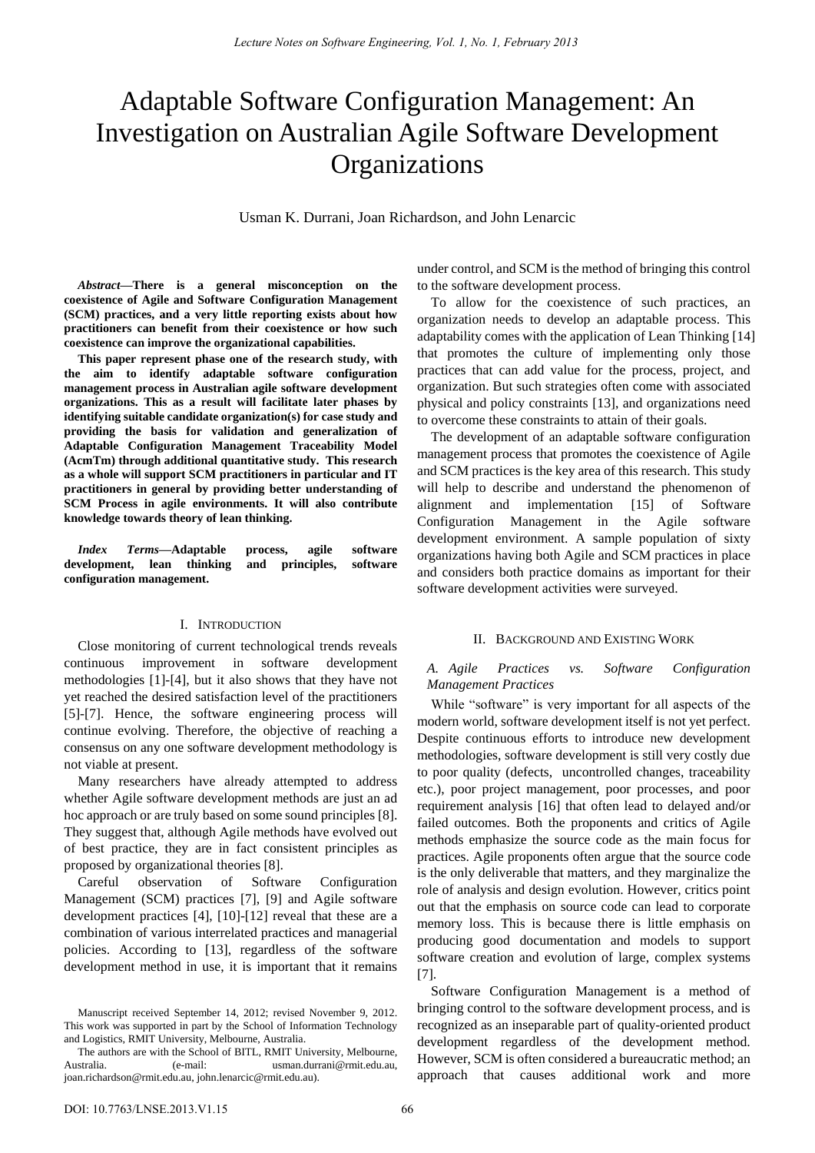# Adaptable Software Configuration Management: An Investigation on Australian Agile Software Development **Organizations**

Usman K. Durrani, Joan Richardson, and John Lenarcic

*Abstract***—There is a general misconception on the coexistence of Agile and Software Configuration Management (SCM) practices, and a very little reporting exists about how practitioners can benefit from their coexistence or how such coexistence can improve the organizational capabilities.** 

**This paper represent phase one of the research study, with the aim to identify adaptable software configuration management process in Australian agile software development organizations. This as a result will facilitate later phases by identifying suitable candidate organization(s) for case study and providing the basis for validation and generalization of Adaptable Configuration Management Traceability Model (AcmTm) through additional quantitative study. This research as a whole will support SCM practitioners in particular and IT practitioners in general by providing better understanding of SCM Process in agile environments. It will also contribute knowledge towards theory of lean thinking.** 

*Index Terms***—Adaptable process, agile software development, lean thinking and principles, software configuration management.** 

#### I. INTRODUCTION

Close monitoring of current technological trends reveals continuous improvement in software development methodologies [1]-[4], but it also shows that they have not yet reached the desired satisfaction level of the practitioners [5]-[7]. Hence, the software engineering process will continue evolving. Therefore, the objective of reaching a consensus on any one software development methodology is not viable at present.

Many researchers have already attempted to address whether Agile software development methods are just an ad hoc approach or are truly based on some sound principles [8]. They suggest that, although Agile methods have evolved out of best practice, they are in fact consistent principles as proposed by organizational theories [8].

Careful observation of Software Configuration Management (SCM) practices [7], [9] and Agile software development practices [4], [10]-[12] reveal that these are a combination of various interrelated practices and managerial policies. According to [13], regardless of the software development method in use, it is important that it remains

Manuscript received September 14, 2012; revised November 9, 2012. This work was supported in part by the School of Information Technology and Logistics, RMIT University, Melbourne, Australia.

under control, and SCM is the method of bringing this control to the software development process.

To allow for the coexistence of such practices, an organization needs to develop an adaptable process. This adaptability comes with the application of Lean Thinking [14] that promotes the culture of implementing only those practices that can add value for the process, project, and organization. But such strategies often come with associated physical and policy constraints [13], and organizations need to overcome these constraints to attain of their goals.

The development of an adaptable software configuration management process that promotes the coexistence of Agile and SCM practices is the key area of this research. This study will help to describe and understand the phenomenon of alignment and implementation [15] of Software Configuration Management in the Agile software development environment. A sample population of sixty organizations having both Agile and SCM practices in place and considers both practice domains as important for their software development activities were surveyed.

## II. BACKGROUND AND EXISTING WORK

## *A. Agile Practices vs. Software Configuration Management Practices*

While "software" is very important for all aspects of the modern world, software development itself is not yet perfect. Despite continuous efforts to introduce new development methodologies, software development is still very costly due to poor quality (defects, uncontrolled changes, traceability etc.), poor project management, poor processes, and poor requirement analysis [16] that often lead to delayed and/or failed outcomes. Both the proponents and critics of Agile methods emphasize the source code as the main focus for practices. Agile proponents often argue that the source code is the only deliverable that matters, and they marginalize the role of analysis and design evolution. However, critics point out that the emphasis on source code can lead to corporate memory loss. This is because there is little emphasis on producing good documentation and models to support software creation and evolution of large, complex systems [7].

Software Configuration Management is a method of bringing control to the software development process, and is recognized as an inseparable part of quality-oriented product development regardless of the development method. However, SCM is often considered a bureaucratic method; an approach that causes additional work and more

The authors are with the School of BITL, RMIT University, Melbourne, Australia. (e-mail: usman.durrani@rmit.edu.au, joan.richardson@rmit.edu.au, john.lenarcic@rmit.edu.au).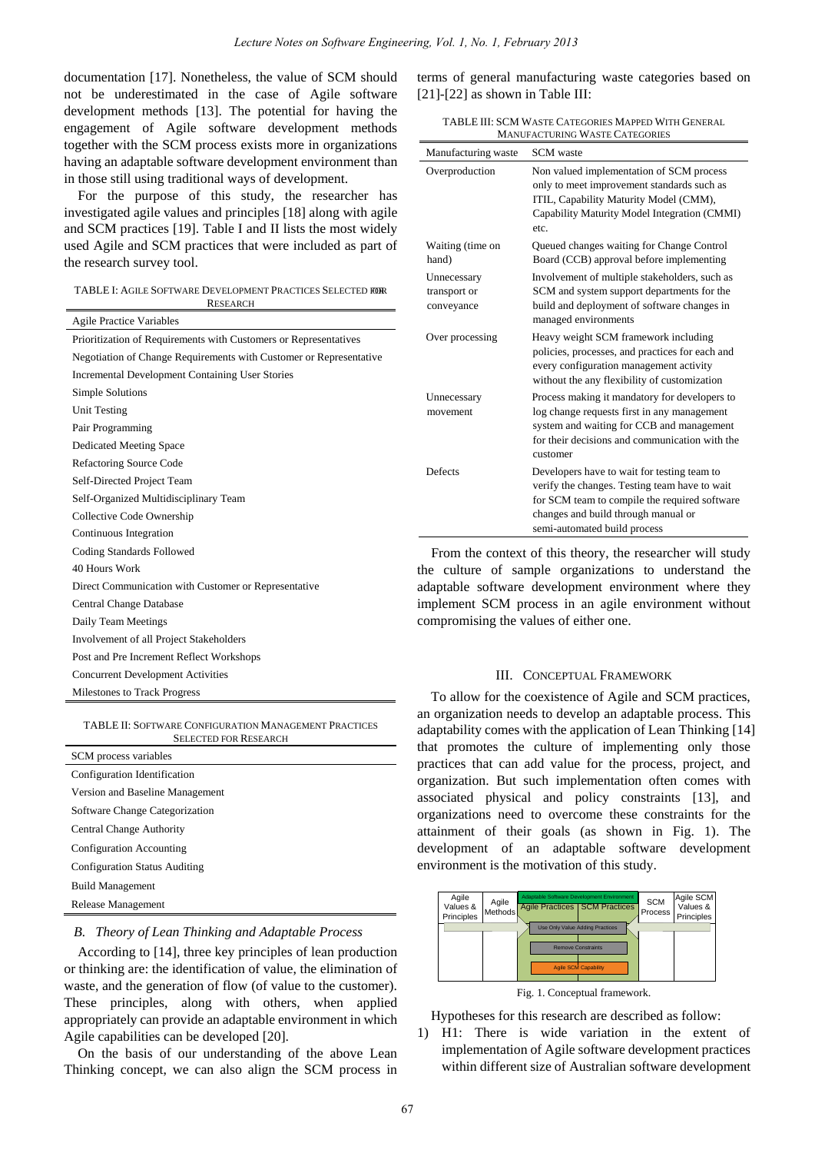documentation [17]. Nonetheless, the value of SCM should not be underestimated in the case of Agile software development methods [13]. The potential for having the engagement of Agile software development methods together with the SCM process exists more in organizations having an adaptable software development environment than in those still using traditional ways of development.

For the purpose of this study, the researcher has investigated agile values and principles [18] along with agile and SCM practices [19]. Table I and II lists the most widely used Agile and SCM practices that were included as part of the research survey tool.

| TABLE I: AGILE SOFTWARE DEVELOPMENT PRACTICES SELECTED FOR |
|------------------------------------------------------------|
| <b>RESEARCH</b>                                            |

| <b>Agile Practice Variables</b>                                    |
|--------------------------------------------------------------------|
| Prioritization of Requirements with Customers or Representatives   |
| Negotiation of Change Requirements with Customer or Representative |
| <b>Incremental Development Containing User Stories</b>             |
| Simple Solutions                                                   |
| Unit Testing                                                       |
| Pair Programming                                                   |
| <b>Dedicated Meeting Space</b>                                     |
| <b>Refactoring Source Code</b>                                     |
| Self-Directed Project Team                                         |
| Self-Organized Multidisciplinary Team                              |
| Collective Code Ownership                                          |
| Continuous Integration                                             |
| Coding Standards Followed                                          |
| 40 Hours Work                                                      |
| Direct Communication with Customer or Representative               |
| <b>Central Change Database</b>                                     |
| Daily Team Meetings                                                |
| Involvement of all Project Stakeholders                            |
| Post and Pre Increment Reflect Workshops                           |
| <b>Concurrent Development Activities</b>                           |
| <b>Milestones to Track Progress</b>                                |

#### TABLE II: SOFTWARE CONFIGURATION MANAGEMENT PRACTICES SELECTED FOR RESEARCH

| SCM process variables                |
|--------------------------------------|
| Configuration Identification         |
| Version and Baseline Management      |
| Software Change Categorization       |
| <b>Central Change Authority</b>      |
| <b>Configuration Accounting</b>      |
| <b>Configuration Status Auditing</b> |
| <b>Build Management</b>              |
| Release Management                   |

*B. Theory of Lean Thinking and Adaptable Process* 

According to [14], three key principles of lean production or thinking are: the identification of value, the elimination of waste, and the generation of flow (of value to the customer). These principles, along with others, when applied appropriately can provide an adaptable environment in which Agile capabilities can be developed [20].

On the basis of our understanding of the above Lean Thinking concept, we can also align the SCM process in terms of general manufacturing waste categories based on [21]-[22] as shown in Table III:

TABLE III: SCM WASTE CATEGORIES MAPPED WITH GENERAL MANUFACTURING WASTE CATEGORIES

| Manufacturing waste                       | <b>SCM</b> waste                                                                                                                                                                                                     |
|-------------------------------------------|----------------------------------------------------------------------------------------------------------------------------------------------------------------------------------------------------------------------|
| Overproduction                            | Non valued implementation of SCM process<br>only to meet improvement standards such as<br>ITIL, Capability Maturity Model (CMM),<br>Capability Maturity Model Integration (CMMI)<br>etc.                             |
| Waiting (time on<br>hand)                 | Queued changes waiting for Change Control<br>Board (CCB) approval before implementing                                                                                                                                |
| Unnecessary<br>transport or<br>conveyance | Involvement of multiple stakeholders, such as<br>SCM and system support departments for the<br>build and deployment of software changes in<br>managed environments                                                   |
| Over processing                           | Heavy weight SCM framework including<br>policies, processes, and practices for each and<br>every configuration management activity<br>without the any flexibility of customization                                   |
| Unnecessary<br>movement                   | Process making it mandatory for developers to<br>log change requests first in any management<br>system and waiting for CCB and management<br>for their decisions and communication with the<br>customer              |
| Defects                                   | Developers have to wait for testing team to<br>verify the changes. Testing team have to wait<br>for SCM team to compile the required software<br>changes and build through manual or<br>semi-automated build process |

From the context of this theory, the researcher will study the culture of sample organizations to understand the adaptable software development environment where they implement SCM process in an agile environment without compromising the values of either one.

### III. CONCEPTUAL FRAMEWORK

To allow for the coexistence of Agile and SCM practices, an organization needs to develop an adaptable process. This adaptability comes with the application of Lean Thinking [14] that promotes the culture of implementing only those practices that can add value for the process, project, and organization. But such implementation often comes with associated physical and policy constraints [13], and organizations need to overcome these constraints for the attainment of their goals (as shown in Fig. 1). The development of an adaptable software development environment is the motivation of this study.



Fig. 1. Conceptual framework.

Hypotheses for this research are described as follow:

1) H1: There is wide variation in the extent of implementation of Agile software development practices within different size of Australian software development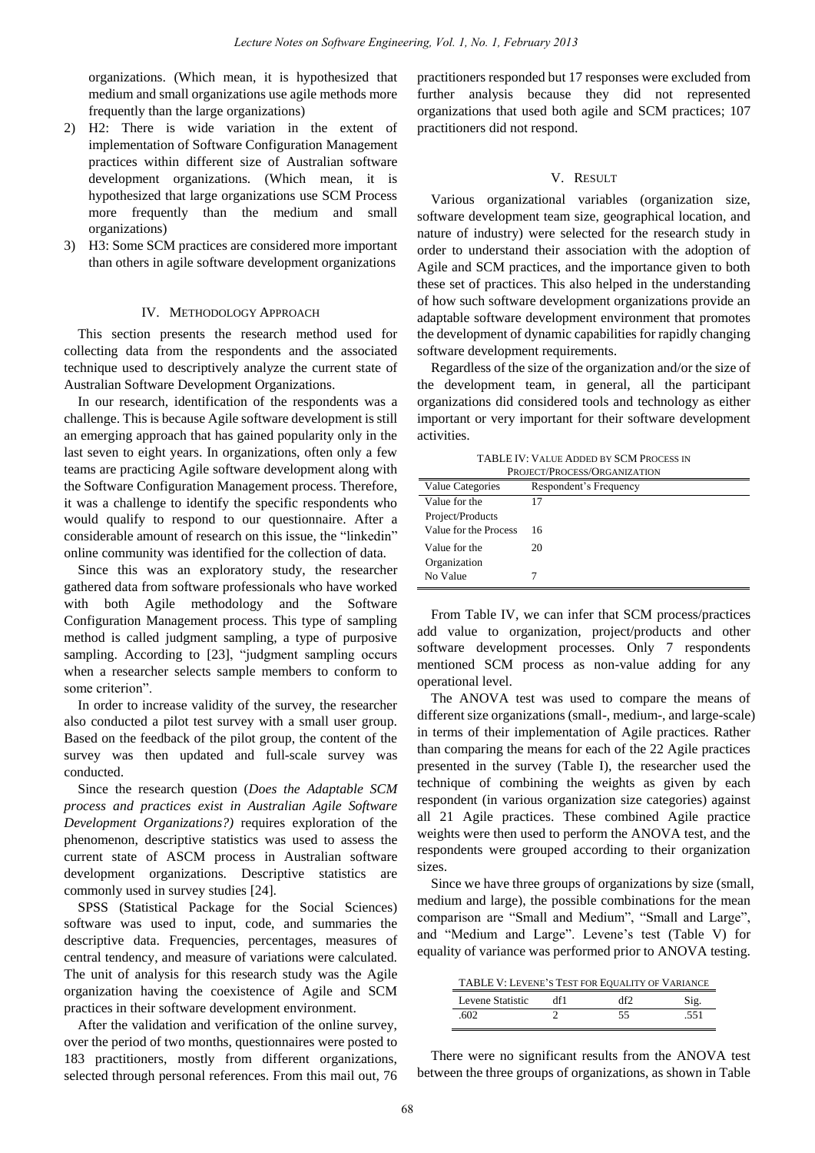organizations. (Which mean, it is hypothesized that medium and small organizations use agile methods more frequently than the large organizations)

- 2) H2: There is wide variation in the extent of implementation of Software Configuration Management practices within different size of Australian software development organizations. (Which mean, it is hypothesized that large organizations use SCM Process more frequently than the medium and small organizations)
- 3) H3: Some SCM practices are considered more important than others in agile software development organizations

#### IV. METHODOLOGY APPROACH

This section presents the research method used for collecting data from the respondents and the associated technique used to descriptively analyze the current state of Australian Software Development Organizations.

In our research, identification of the respondents was a challenge. This is because Agile software development is still an emerging approach that has gained popularity only in the last seven to eight years. In organizations, often only a few teams are practicing Agile software development along with the Software Configuration Management process. Therefore, it was a challenge to identify the specific respondents who would qualify to respond to our questionnaire. After a considerable amount of research on this issue, the "linkedin" online community was identified for the collection of data.

Since this was an exploratory study, the researcher gathered data from software professionals who have worked with both Agile methodology and the Software Configuration Management process. This type of sampling method is called judgment sampling, a type of purposive sampling. According to [23], "judgment sampling occurs when a researcher selects sample members to conform to some criterion".

In order to increase validity of the survey, the researcher also conducted a pilot test survey with a small user group. Based on the feedback of the pilot group, the content of the survey was then updated and full-scale survey was conducted.

Since the research question (*Does the Adaptable SCM process and practices exist in Australian Agile Software Development Organizations?)* requires exploration of the phenomenon, descriptive statistics was used to assess the current state of ASCM process in Australian software development organizations. Descriptive statistics are commonly used in survey studies [24].

SPSS (Statistical Package for the Social Sciences) software was used to input, code, and summaries the descriptive data. Frequencies, percentages, measures of central tendency, and measure of variations were calculated. The unit of analysis for this research study was the Agile organization having the coexistence of Agile and SCM practices in their software development environment.

After the validation and verification of the online survey, over the period of two months, questionnaires were posted to 183 practitioners, mostly from different organizations, selected through personal references. From this mail out, 76

practitioners responded but 17 responses were excluded from further analysis because they did not represented organizations that used both agile and SCM practices; 107 practitioners did not respond.

## V. RESULT

Various organizational variables (organization size, software development team size, geographical location, and nature of industry) were selected for the research study in order to understand their association with the adoption of Agile and SCM practices, and the importance given to both these set of practices. This also helped in the understanding of how such software development organizations provide an adaptable software development environment that promotes the development of dynamic capabilities for rapidly changing software development requirements.

Regardless of the size of the organization and/or the size of the development team, in general, all the participant organizations did considered tools and technology as either important or very important for their software development activities.

TABLE IV: VALUE ADDED BY SCM PROCESS IN PROJECT/PROCESS/ORGANIZATION

| PROJECT/PROCESS/ORGANIZATION               |    |  |  |  |
|--------------------------------------------|----|--|--|--|
| Value Categories<br>Respondent's Frequency |    |  |  |  |
| Value for the                              | 17 |  |  |  |
| Project/Products                           |    |  |  |  |
| Value for the Process                      | 16 |  |  |  |
| Value for the                              | 20 |  |  |  |
| Organization                               |    |  |  |  |
| No Value                                   |    |  |  |  |
|                                            |    |  |  |  |

From Table IV, we can infer that SCM process/practices add value to organization, project/products and other software development processes. Only 7 respondents mentioned SCM process as non-value adding for any operational level.

The ANOVA test was used to compare the means of different size organizations (small-, medium-, and large-scale) in terms of their implementation of Agile practices. Rather than comparing the means for each of the 22 Agile practices presented in the survey (Table I), the researcher used the technique of combining the weights as given by each respondent (in various organization size categories) against all 21 Agile practices. These combined Agile practice weights were then used to perform the ANOVA test, and the respondents were grouped according to their organization sizes.

Since we have three groups of organizations by size (small, medium and large), the possible combinations for the mean comparison are "Small and Medium", "Small and Large", and "Medium and Large". Levene"s test (Table V) for equality of variance was performed prior to ANOVA testing.

| TABLE V: LEVENE'S TEST FOR EQUALITY OF VARIANCE |     |     |      |  |
|-------------------------------------------------|-----|-----|------|--|
| Levene Statistic                                | df1 | df2 | Sig. |  |
| .602                                            |     | 55  | .551 |  |

There were no significant results from the ANOVA test between the three groups of organizations, as shown in Table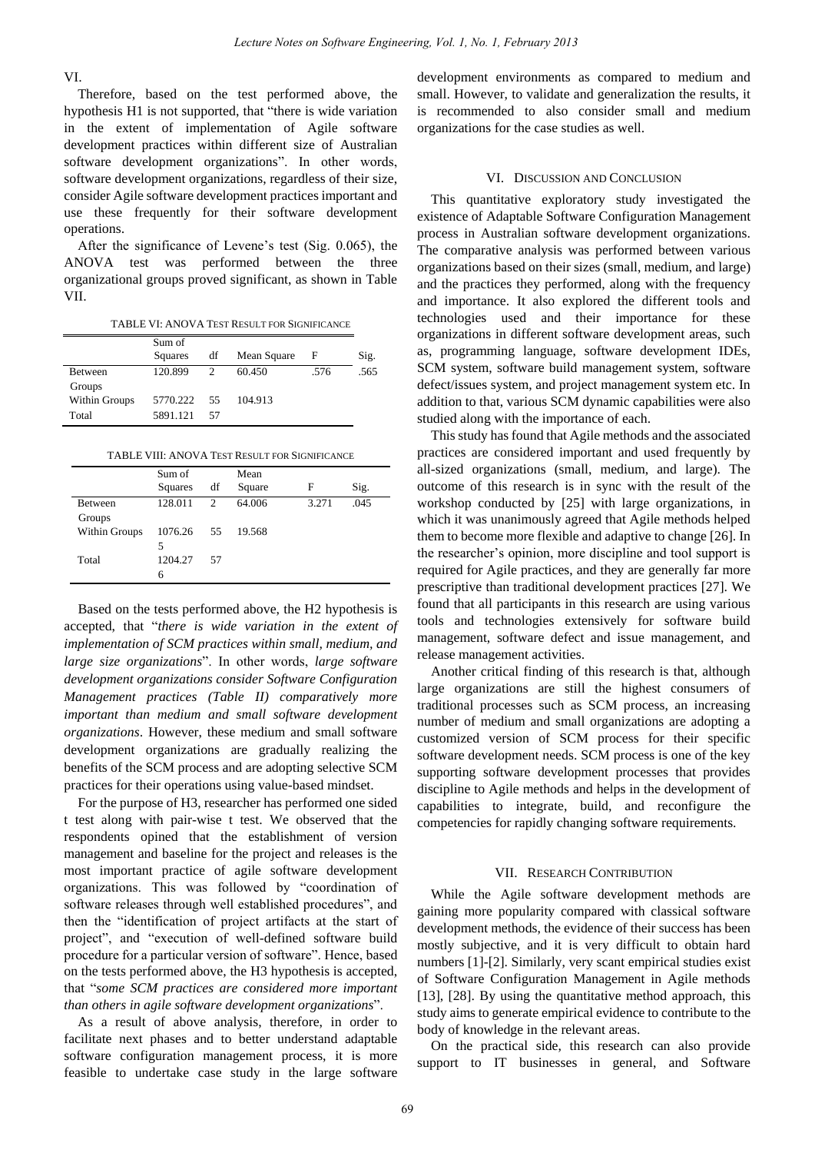VI.

Therefore, based on the test performed above, the hypothesis H1 is not supported, that "there is wide variation in the extent of implementation of Agile software development practices within different size of Australian software development organizations". In other words, software development organizations, regardless of their size, consider Agile software development practices important and use these frequently for their software development operations.

After the significance of Levene"s test (Sig. 0.065), the ANOVA test was performed between the three organizational groups proved significant, as shown in Table VII.

TABLE VI: ANOVA TEST RESULT FOR SIGNIFICANCE

|               | Sum of<br>Squares | df            | Mean Square | F    | Sig. |
|---------------|-------------------|---------------|-------------|------|------|
| Between       | 120.899           | $\mathcal{D}$ | 60.450      | .576 | .565 |
| Groups        |                   |               |             |      |      |
| Within Groups | 5770.222          | 55            | 104.913     |      |      |
| Total         | 5891.121          | 57            |             |      |      |

|  | TABLE VIII: ANOVA TEST RESULT FOR SIGNIFICANCE |
|--|------------------------------------------------|
|--|------------------------------------------------|

|               | Sum of<br>Squares | df             | Mean<br>Square | F     | Sig. |
|---------------|-------------------|----------------|----------------|-------|------|
| Between       | 128.011           | $\mathfrak{D}$ | 64.006         | 3.271 | .045 |
| Groups        |                   |                |                |       |      |
| Within Groups | 1076.26           | 55             | 19.568         |       |      |
|               | 5                 |                |                |       |      |
| Total         | 1204.27           | 57             |                |       |      |
|               | 6                 |                |                |       |      |

Based on the tests performed above, the H2 hypothesis is accepted, that "*there is wide variation in the extent of implementation of SCM practices within small, medium, and large size organizations*". In other words, *large software development organizations consider Software Configuration Management practices (Table II) comparatively more important than medium and small software development organizations*. However, these medium and small software development organizations are gradually realizing the benefits of the SCM process and are adopting selective SCM practices for their operations using value-based mindset.

For the purpose of H3, researcher has performed one sided t test along with pair-wise t test. We observed that the respondents opined that the establishment of version management and baseline for the project and releases is the most important practice of agile software development organizations. This was followed by "coordination of software releases through well established procedures", and then the "identification of project artifacts at the start of project", and "execution of well-defined software build procedure for a particular version of software". Hence, based on the tests performed above, the H3 hypothesis is accepted, that "*some SCM practices are considered more important than others in agile software development organizations*".

As a result of above analysis, therefore, in order to facilitate next phases and to better understand adaptable software configuration management process, it is more feasible to undertake case study in the large software development environments as compared to medium and small. However, to validate and generalization the results, it is recommended to also consider small and medium organizations for the case studies as well.

## VI. DISCUSSION AND CONCLUSION

This quantitative exploratory study investigated the existence of Adaptable Software Configuration Management process in Australian software development organizations. The comparative analysis was performed between various organizations based on their sizes (small, medium, and large) and the practices they performed, along with the frequency and importance. It also explored the different tools and technologies used and their importance for these organizations in different software development areas, such as, programming language, software development IDEs, SCM system, software build management system, software defect/issues system, and project management system etc. In addition to that, various SCM dynamic capabilities were also studied along with the importance of each.

This study has found that Agile methods and the associated practices are considered important and used frequently by all-sized organizations (small, medium, and large). The outcome of this research is in sync with the result of the workshop conducted by [25] with large organizations, in which it was unanimously agreed that Agile methods helped them to become more flexible and adaptive to change [26]. In the researcher"s opinion, more discipline and tool support is required for Agile practices, and they are generally far more prescriptive than traditional development practices [27]. We found that all participants in this research are using various tools and technologies extensively for software build management, software defect and issue management, and release management activities.

Another critical finding of this research is that, although large organizations are still the highest consumers of traditional processes such as SCM process, an increasing number of medium and small organizations are adopting a customized version of SCM process for their specific software development needs. SCM process is one of the key supporting software development processes that provides discipline to Agile methods and helps in the development of capabilities to integrate, build, and reconfigure the competencies for rapidly changing software requirements.

#### VII. RESEARCH CONTRIBUTION

While the Agile software development methods are gaining more popularity compared with classical software development methods, the evidence of their success has been mostly subjective, and it is very difficult to obtain hard numbers [1]-[2]. Similarly, very scant empirical studies exist of Software Configuration Management in Agile methods [13], [28]. By using the quantitative method approach, this study aims to generate empirical evidence to contribute to the body of knowledge in the relevant areas.

On the practical side, this research can also provide support to IT businesses in general, and Software